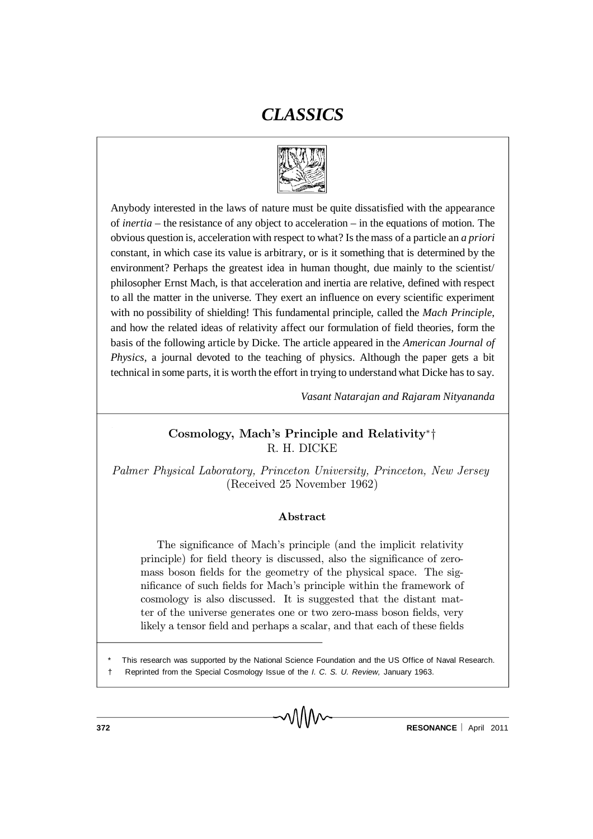

Anybody interested in the laws of nature must be quite dissatisfied with the appearance of *inertia* – the resistance of any object to acceleration – in the equations of motion. The obvious question is, acceleration with respect to what? Is the mass of a particle an *a priori* constant, in which case its value is arbitrary, or is it something that is determined by the environment? Perhaps the greatest idea in human thought, due mainly to the scientist/ philosopher Ernst Mach, is that acceleration and inertia are relative, defined with respect to all the matter in the universe. They exert an influence on every scientific experiment with no possibility of shielding! This fundamental principle, called the *Mach Principle*, and how the related ideas of relativity affect our formulation of field theories, form the basis of the following article by Dicke. The article appeared in the *American Journal of Physics*, a journal devoted to the teaching of physics. Although the paper gets a bit technical in some parts, it is worth the effort in trying to understand what Dicke has to say.

*Vasant Natarajan and Rajaram Nityananda*

#### $\rm Cosmology,~Mach's~Principle~and~Relativity^{*} \dag$ R. H. DICKE

Palmer Physical Laboratory, Princeton University, Princeton, New Jersey (Received 25 November 1962)

#### Abstract

The significance of Mach's principle (and the implicit relativity principle) for field theory is discussed, also the significance of zeromass boson fields for the geometry of the physical space. The significance of such fields for Mach's principle within the framework of cosmology is also discussed. It is suggested that the distant matter of the universe generates one or two zero-mass boson fields, very likely a tensor field and perhaps a scalar, and that each of these fields

This research was supported by the National Science Foundation and the US Office of Naval Research.

<sup>†</sup> Reprinted from the Special Cosmology Issue of the *I*. *C. S. U. Review,* January 1963.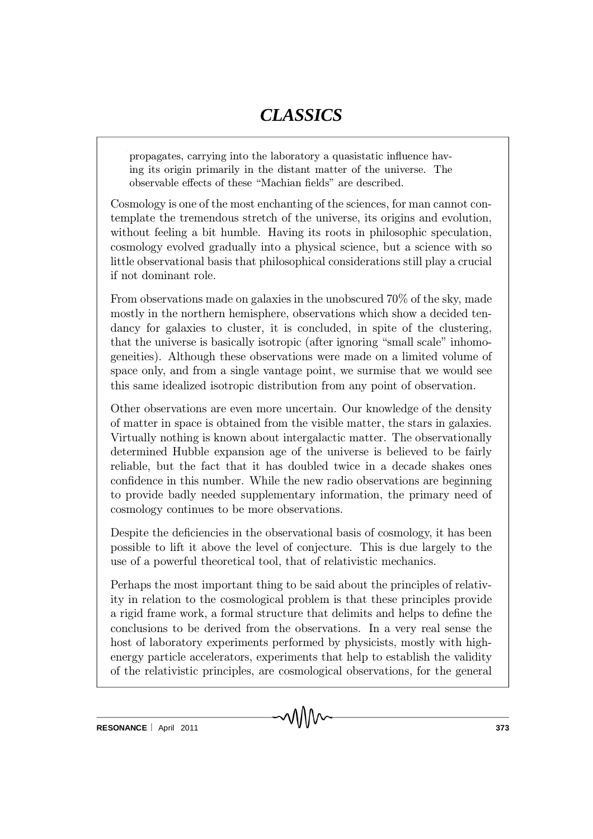propagates, carrying into the laboratory a quasistatic influence having its origin primarily in the distant matter of the universe. The observable effects of these "Machian fields" are described.

Cosmology is one of the most enchanting of the sciences, for man cannot contemplate the tremendous stretch of the universe, its origins and evolution, without feeling a bit humble. Having its roots in philosophic speculation, cosmology evolved gradually into a physical science, but a science with so little observational basis that philosophical considerations still play a crucial if not dominant role.

From observations made on galaxies in the unobscured 70% of the sky, made mostly in the northern hemisphere, observations which show a decided tendancy for galaxies to cluster, it is concluded, in spite of the clustering, that the universe is basically isotropic (after ignoring "small scale" inhomogeneities). Although these observations were made on a limited volume of space only, and from a single vantage point, we surmise that we would see this same idealized isotropic distribution from any point of observation.

Other observations are even more uncertain. Our knowledge of the density of matter in space is obtained from the visible matter, the stars in galaxies. Virtually nothing is known about intergalactic matter. The observationally determined Hubble expansion age of the universe is believed to be fairly reliable, but the fact that it has doubled twice in a decade shakes ones confidence in this number. While the new radio observations are beginning to provide badly needed supplementary information, the primary need of cosmology continues to be more observations.

Despite the deficiencies in the observational basis of cosmology, it has been possible to lift it above the level of conjecture. This is due largely to the use of a powerful theoretical tool, that of relativistic mechanics.

Perhaps the most important thing to be said about the principles of relativity in relation to the cosmological problem is that these principles provide a rigid frame work, a formal structure that delimits and helps to define the conclusions to be derived from the observations. In a very real sense the host of laboratory experiments performed by physicists, mostly with highenergy particle accelerators, experiments that help to establish the validity of the relativistic principles, are cosmological observations, for the general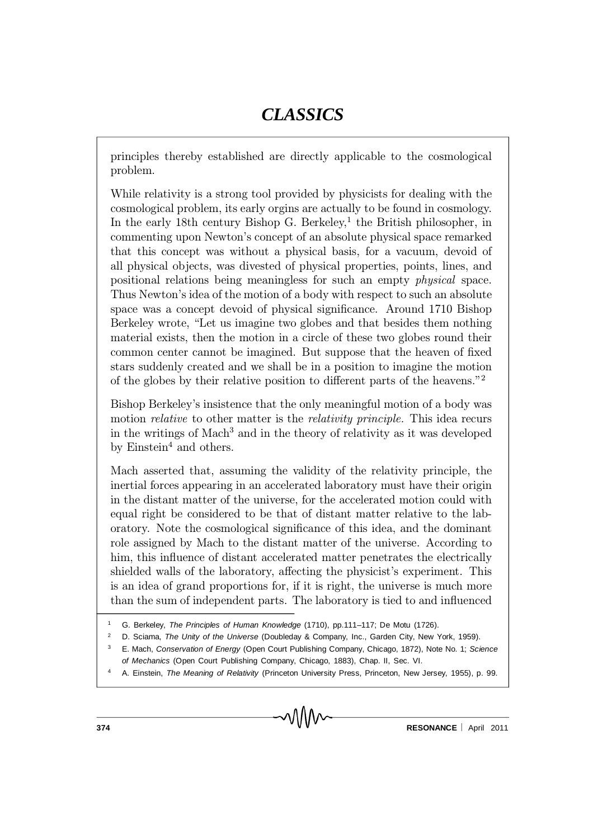principles thereby established are directly applicable to the cosmological problem.

While relativity is a strong tool provided by physicists for dealing with the cosmological problem, its early orgins are actually to be found in cosmology. In the early 18th century Bishop G. Berkeley,<sup>1</sup> the British philosopher, in commenting upon Newton's concept of an absolute physical space remarked that this concept was without a physical basis, for a vacuum, devoid of all physical objects, was divested of physical properties, points, lines, and positional relations being meaningless for such an empty physical space. Thus Newton's idea of the motion of a body with respect to such an absolute space was a concept devoid of physical significance. Around 1710 Bishop Berkeley wrote, "Let us imagine two globes and that besides them nothing material exists, then the motion in a circle of these two globes round their common center cannot be imagined. But suppose that the heaven of fixed stars suddenly created and we shall be in a position to imagine the motion of the globes by their relative position to different parts of the heavens."<sup>2</sup>

Bishop Berkeley's insistence that the only meaningful motion of a body was motion *relative* to other matter is the *relativity principle*. This idea recurs in the writings of Mach <sup>3</sup> and in the theory of relativity as it was developed by Einstein <sup>4</sup> and others.

Mach asserted that, assuming the validity of the relativity principle, the inertial forces appearing in an accelerated laboratory must have their origin in the distant matter of the universe, for the accelerated motion could with equal right be considered to be that of distant matter relative to the laboratory. Note the cosmological significance of this idea, and the dominant role assigned by Mach to the distant matter of the universe. According to him, this influence of distant accelerated matter penetrates the electrically shielded walls of the laboratory, affecting the physicist's experiment. This is an idea of grand proportions for, if it is right, the universe is much more than the sum of independent parts. The laboratory is tied to and influenced

<sup>1</sup> G. Berkeley, *The Principles of Human Knowledge* (1710), pp.111–117; De Motu (1726).

<sup>2</sup> D. Sciama, *The Unity of the Universe* (Doubleday & Company, Inc., Garden City, New York, 1959).

<sup>3</sup> E. Mach, *Conservation of Energy* (Open Court Publishing Company, Chicago, 1872), Note No. 1; *Science of Mechanics* (Open Court Publishing Company, Chicago, 1883), Chap. II, Sec. VI.

<sup>4</sup> A. Einstein, *The Meaning of Relativity* (Princeton University Press, Princeton, New Jersey, 1955), p. 99.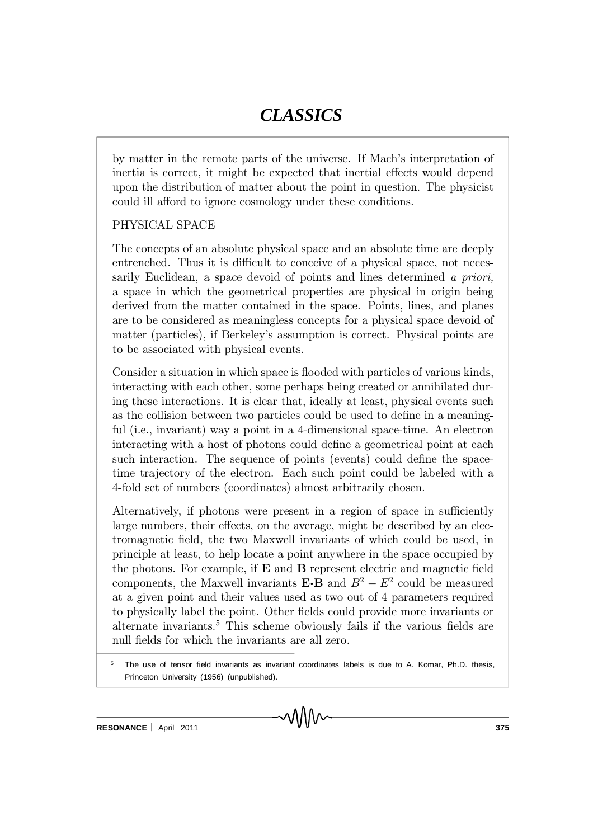by matter in the remote parts of the universe. If Mach's interpretation of inertia is correct, it might be expected that inertial effects would depend upon the distribution of matter about the point in question. The physicist could ill afford to ignore cosmology under these conditions.

#### PHYSICAL SPACE

The concepts of an absolute physical space and an absolute time are deeply entrenched. Thus it is difficult to conceive of a physical space, not necessarily Euclidean, a space devoid of points and lines determined a priori, a space in which the geometrical properties are physical in origin being derived from the matter contained in the space. Points, lines, and planes are to be considered as meaningless concepts for a physical space devoid of matter (particles), if Berkeley's assumption is correct. Physical points are to be associated with physical events.

Consider a situation in which space is flooded with particles of various kinds, interacting with each other, some perhaps being created or annihilated during these interactions. It is clear that, ideally at least, physical events such as the collision between two particles could be used to define in a meaningful (i.e., invariant) way a point in a 4-dimensional space-time. An electron interacting with a host of photons could define a geometrical point at each such interaction. The sequence of points (events) could define the spacetime trajectory of the electron. Each such point could be labeled with a 4-fold set of numbers (coordinates) almost arbitrarily chosen.

Alternatively, if photons were present in a region of space in sufficiently large numbers, their effects, on the average, might be described by an electromagnetic field, the two Maxwell invariants of which could be used, in principle at least, to help locate a point anywhere in the space occupied by the photons. For example, if  $E$  and  $B$  represent electric and magnetic field components, the Maxwell invariants  $\mathbf{E} \cdot \mathbf{B}$  and  $B^2 - E^2$  could be measured at a given point and their values used as two out of 4 parameters required to physically label the point. Other fields could provide more invariants or alternate invariants.<sup>5</sup> This scheme obviously fails if the various fields are null fields for which the invariants are all zero.

The use of tensor field invariants as invariant coordinates labels is due to A. Komar, Ph.D. thesis, Princeton University (1956) (unpublished).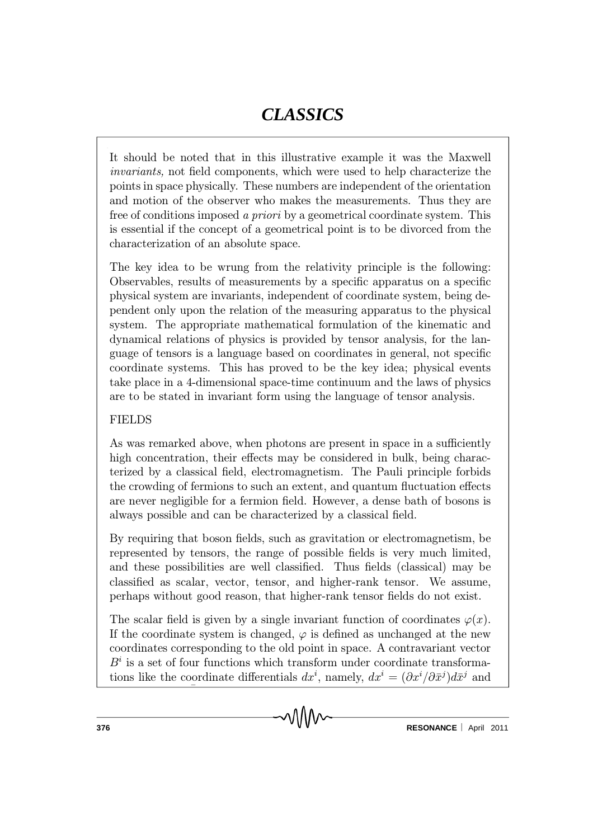It should be noted that in this illustrative example it was the Maxwell invariants, not field components, which were used to help characterize the points in space physically. These numbers are independent of the orientation and motion of the observer who makes the measurements. Thus they are free of conditions imposed a priori by a geometrical coordinate system. This is essential if the concept of a geometrical point is to be divorced from the characterization of an absolute space.

The key idea to be wrung from the relativity principle is the following: Observables, results of measurements by a specific apparatus on a specific physical system are invariants, independent of coordinate system, being dependent only upon the relation of the measuring apparatus to the physical system. The appropriate mathematical formulation of the kinematic and dynamical relations of physics is provided by tensor analysis, for the language of tensors is a language based on coordinates in general, not specific coordinate systems. This has proved to be the key idea; physical events take place in a 4-dimensional space-time continuum and the laws of physics are to be stated in invariant form using the language of tensor analysis.

#### FIELDS

As was remarked above, when photons are present in space in a sufficiently high concentration, their effects may be considered in bulk, being characterized by a classical field, electromagnetism. The Pauli principle forbids the crowding of fermions to such an extent, and quantum fluctuation effects are never negligible for a fermion field. However, a dense bath of bosons is always possible and can be characterized by a classical field.

By requiring that boson fields, such as gravitation or electromagnetism, be represented by tensors, the range of possible fields is very much limited, and these possibilities are well classified. Thus fields (classical) may be classified as scalar, vector, tensor, and higher-rank tensor. We assume, perhaps without good reason, that higher-rank tensor fields do not exist.

The scalar field is given by a single invariant function of coordinates  $\varphi(x)$ . If the coordinate system is changed,  $\varphi$  is defined as unchanged at the new coordinates corresponding to the old point in space. A contravariant vector  $B<sup>i</sup>$  is a set of four functions which transform under coordinate transformations like the coordinate differentials  $dx^i$ , namely,  $dx^i = (\partial x^i / \partial \bar{x}^j) d\bar{x}^j$  and ¹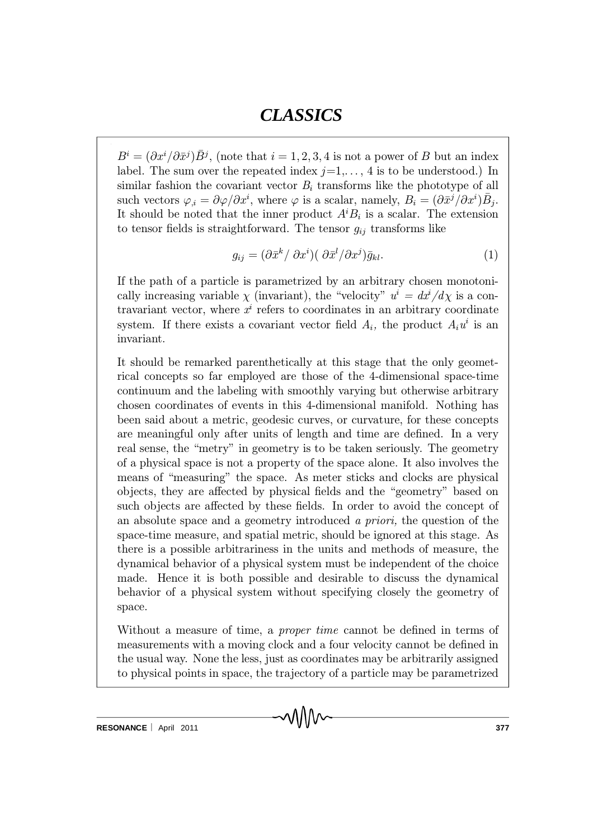$B^i = (\partial x^i / \partial \bar{x}^j) \bar{B}^j$ , (note that  $i = 1, 2, 3, 4$  is not a power of B but an index label. The sum over the repeated index  $j=1,\ldots, 4$  is to be understood.) In similar fashion the covariant vector  $B_i$  transforms like the phototype of all such vectors  $\varphi_{,i} = \partial \varphi / \partial x^i$ , where  $\varphi$  is a scalar, namely,  $B_i = (\partial \bar{x}^j / \partial x^i) \bar{B}_j$ . It should be noted that the inner product  $A^{i}B_{i}$  is a scalar. The extension to tensor fields is straightforward. The tensor  $g_{ij}$  transforms like

$$
g_{ij} = (\partial \bar{x}^k / \partial x^i)(\partial \bar{x}^l / \partial x^j) \bar{g}_{kl}.
$$
 (1)

If the path of a particle is parametrized by an arbitrary chosen monotonically increasing variable  $\chi$  (invariant), the "velocity"  $u^i = dx^i/d\chi$  is a contravariant vector, where  $x^i$  refers to coordinates in an arbitrary coordinate system. If there exists a covariant vector field  $A_i$ , the product  $A_i u^i$  is an invariant.

It should be remarked parenthetically at this stage that the only geometrical concepts so far employed are those of the 4-dimensional space-time continuum and the labeling with smoothly varying but otherwise arbitrary chosen coordinates of events in this 4-dimensional manifold. Nothing has been said about a metric, geodesic curves, or curvature, for these concepts are meaningful only after units of length and time are defined. In a very real sense, the "metry" in geometry is to be taken seriously. The geometry of a physical space is not a property of the space alone. It also involves the means of "measuring" the space. As meter sticks and clocks are physical objects, they are affected by physical fields and the "geometry" based on such objects are affected by these fields. In order to avoid the concept of an absolute space and a geometry introduced a priori, the question of the space-time measure, and spatial metric, should be ignored at this stage. As there is a possible arbitrariness in the units and methods of measure, the dynamical behavior of a physical system must be independent of the choice made. Hence it is both possible and desirable to discuss the dynamical behavior of a physical system without specifying closely the geometry of space.

Without a measure of time, a *proper time* cannot be defined in terms of measurements with a moving clock and a four velocity cannot be defined in the usual way. None the less, just as coordinates may be arbitrarily assigned to physical points in space, the trajectory of a particle may be parametrized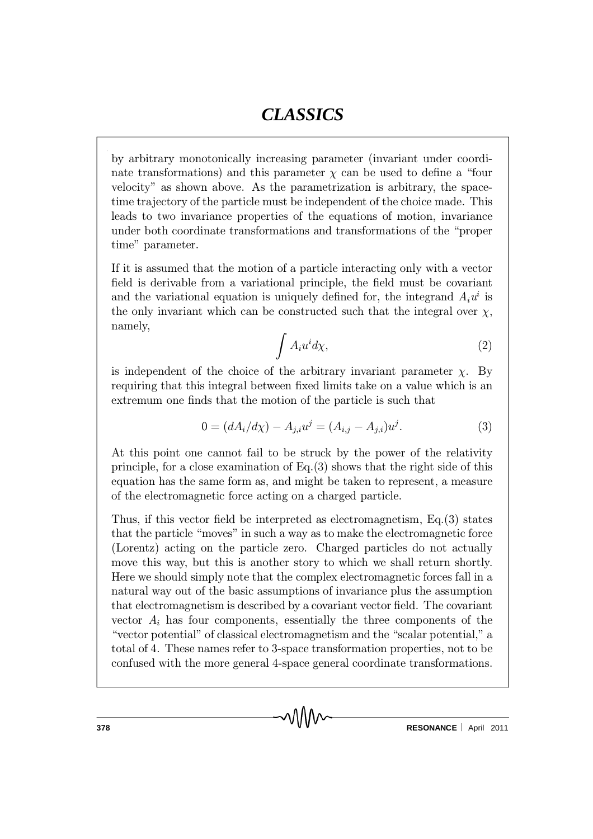by arbitrary monotonically increasing parameter (invariant under coordinate transformations) and this parameter  $\chi$  can be used to define a "four velocity" as shown above. As the parametrization is arbitrary, the spacetime trajectory of the particle must be independent of the choice made. This leads to two invariance properties of the equations of motion, invariance under both coordinate transformations and transformations of the \proper time" parameter.

If it is assumed that the motion of a particle interacting only with a vector field is derivable from a variational principle, the field must be covariant and the variational equation is uniquely defined for, the integrand  $A_i u^i$  is the only invariant which can be constructed such that the integral over  $\chi$ , namely,

$$
\int A_i u^i dx,\tag{2}
$$

is independent of the choice of the arbitrary invariant parameter  $\chi$ . By requiring that this integral between fixed limits take on a value which is an extremum one finds that the motion of the particle is such that

$$
0 = (dA_i/d\chi) - A_{j,i}u^j = (A_{i,j} - A_{j,i})u^j.
$$
 (3)

At this point one cannot fail to be struck by the power of the relativity principle, for a close examination of  $Eq.(3)$  shows that the right side of this equation has the same form as, and might be taken to represent, a measure of the electromagnetic force acting on a charged particle.

Thus, if this vector field be interpreted as electromagnetism,  $Eq.(3)$  states that the particle "moves" in such a way as to make the electromagnetic force (Lorentz) acting on the particle zero. Charged particles do not actually move this way, but this is another story to which we shall return shortly. Here we should simply note that the complex electromagnetic forces fall in a natural way out of the basic assumptions of invariance plus the assumption that electromagnetism is described by a covariant vector field. The covariant vector  $A_i$  has four components, essentially the three components of the " $vector potential"$  of classical electromagnetism and the "scalar potential," a total of 4. These names refer to 3-space transformation properties, not to be confused with the more general 4-space general coordinate transformations.

**378 RESONANCE**  $\vert$  April 2011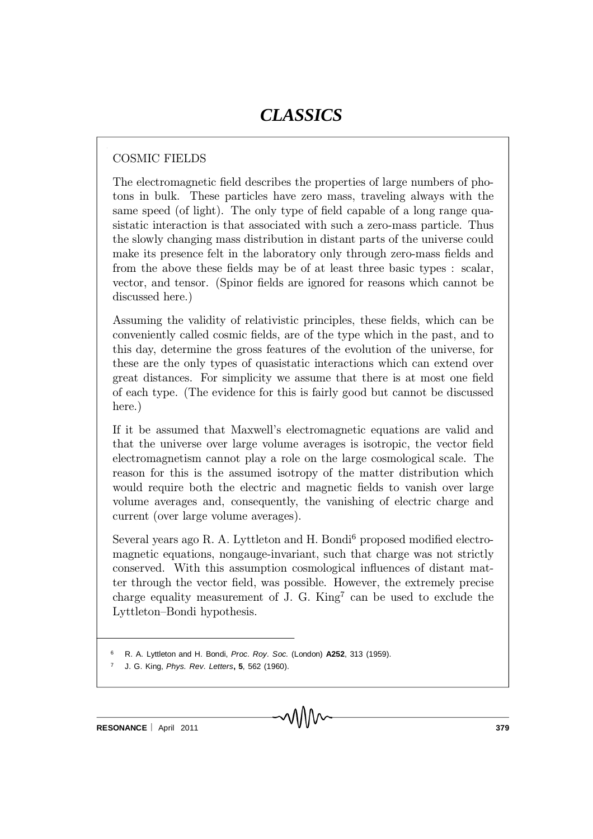### COSMIC FIELDS

The electromagnetic field describes the properties of large numbers of photons in bulk. These particles have zero mass, traveling always with the same speed (of light). The only type of field capable of a long range quasistatic interaction is that associated with such a zero-mass particle. Thus the slowly changing mass distribution in distant parts of the universe could make its presence felt in the laboratory only through zero-mass fields and from the above these fields may be of at least three basic types : scalar, vector, and tensor. (Spinor fields are ignored for reasons which cannot be discussed here.)

Assuming the validity of relativistic principles, these fields, which can be conveniently called cosmic fields, are of the type which in the past, and to this day, determine the gross features of the evolution of the universe, for these are the only types of quasistatic interactions which can extend over great distances. For simplicity we assume that there is at most one field of each type. (The evidence for this is fairly good but cannot be discussed here.)

If it be assumed that Maxwell's electromagnetic equations are valid and that the universe over large volume averages is isotropic, the vector field electromagnetism cannot play a role on the large cosmological scale. The reason for this is the assumed isotropy of the matter distribution which would require both the electric and magnetic fields to vanish over large volume averages and, consequently, the vanishing of electric charge and current (over large volume averages).

Several years ago R. A. Lyttleton and H. Bondi<sup>6</sup> proposed modified electromagnetic equations, nongauge-invariant, such that charge was not strictly conserved. With this assumption cosmological influences of distant matter through the vector field, was possible. However, the extremely precise charge equality measurement of J. G. King 7 can be used to exclude the Lyttleton-Bondi hypothesis.

<sup>6</sup> R. A. Lyttleton and H. Bondi, *Proc. Roy. Soc.* (London) **A252**, 313 (1959).

<sup>7</sup> J. G. King, *Phys. Rev. Letters***, 5**, 562 (1960).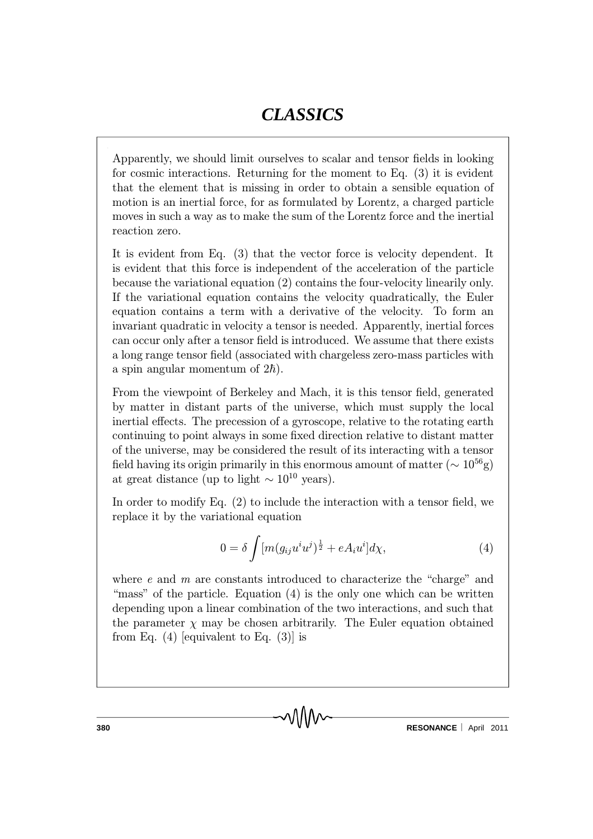Apparently, we should limit ourselves to scalar and tensor fields in looking for cosmic interactions. Returning for the moment to Eq. (3) it is evident that the element that is missing in order to obtain a sensible equation of motion is an inertial force, for as formulated by Lorentz, a charged particle moves in such a way as to make the sum of the Lorentz force and the inertial reaction zero.

It is evident from Eq. (3) that the vector force is velocity dependent. It is evident that this force is independent of the acceleration of the particle because the variational equation (2) contains the four-velocity linearily only. If the variational equation contains the velocity quadratically, the Euler equation contains a term with a derivative of the velocity. To form an invariant quadratic in velocity a tensor is needed. Apparently, inertial forces can occur only after a tensor field is introduced. We assume that there exists a long range tensor field (associated with chargeless zero-mass particles with a spin angular momentum of  $2\hbar$ ).

From the viewpoint of Berkeley and Mach, it is this tensor field, generated by matter in distant parts of the universe, which must supply the local inertial effects. The precession of a gyroscope, relative to the rotating earth continuing to point always in some fixed direction relative to distant matter of the universe, may be considered the result of its interacting with a tensor field having its origin primarily in this enormous amount of matter ( $\sim 10^{56}$ g) at great distance (up to light  $\sim 10^{10}$  years).

In order to modify Eq.  $(2)$  to include the interaction with a tensor field, we replace it by the variational equation

$$
0 = \delta \int [m(g_{ij}u^i u^j)^{\frac{1}{2}} + eA_i u^i] d\chi,
$$
 (4)

where  $e$  and  $m$  are constants introduced to characterize the "charge" and "mass" of the particle. Equation  $(4)$  is the only one which can be written depending upon a linear combination of the two interactions, and such that the parameter  $\chi$  may be chosen arbitrarily. The Euler equation obtained from Eq.  $(4)$  [equivalent to Eq.  $(3)$ ] is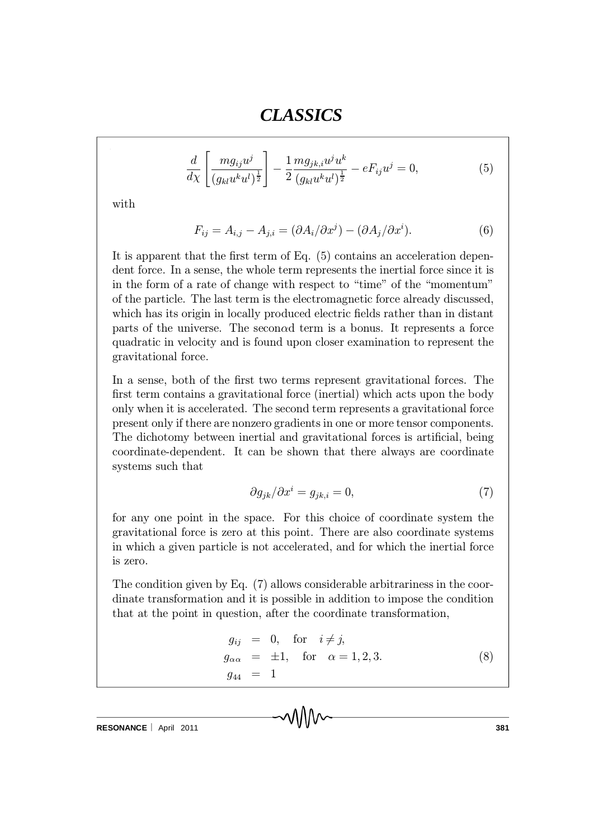$$
\frac{d}{d\chi} \left[ \frac{m g_{ij} u^j}{(g_{kl} u^k u^l)^{\frac{1}{2}}} \right] - \frac{1}{2} \frac{m g_{jk,i} u^j u^k}{(g_{kl} u^k u^l)^{\frac{1}{2}}} - e F_{ij} u^j = 0, \tag{5}
$$

with

$$
F_{ij} = A_{i,j} - A_{j,i} = (\partial A_i / \partial x^j) - (\partial A_j / \partial x^i).
$$
 (6)

It is apparent that the first term of Eq.  $(5)$  contains an acceleration dependent force. In a sense, the whole term represents the inertial force since it is in the form of a rate of change with respect to "time" of the "momentum" of the particle. The last term is the electromagnetic force already discussed, which has its origin in locally produced electric fields rather than in distant parts of the universe. The second term is a bonus. It represents a force quadratic in velocity and is found upon closer examination to represent the gravitational force.

In a sense, both of the first two terms represent gravitational forces. The first term contains a gravitational force (inertial) which acts upon the body only when it is accelerated. The second term represents a gravitational force present only if there are nonzero gradients in one or more tensor components. The dichotomy between inertial and gravitational forces is artificial, being coordinate-dependent. It can be shown that there always are coordinate systems such that

$$
\partial g_{jk}/\partial x^i = g_{jk,i} = 0,\tag{7}
$$

for any one point in the space. For this choice of coordinate system the gravitational force is zero at this point. There are also coordinate systems in which a given particle is not accelerated, and for which the inertial force is zero.

The condition given by Eq. (7) allows considerable arbitrariness in the coordinate transformation and it is possible in addition to impose the condition that at the point in question, after the coordinate transformation,

$$
g_{ij} = 0
$$
, for  $i \neq j$ ,  
\n $g_{\alpha\alpha} = \pm 1$ , for  $\alpha = 1, 2, 3$ .  
\n $g_{44} = 1$  (8)

**RESONANCE** April 2011 **381**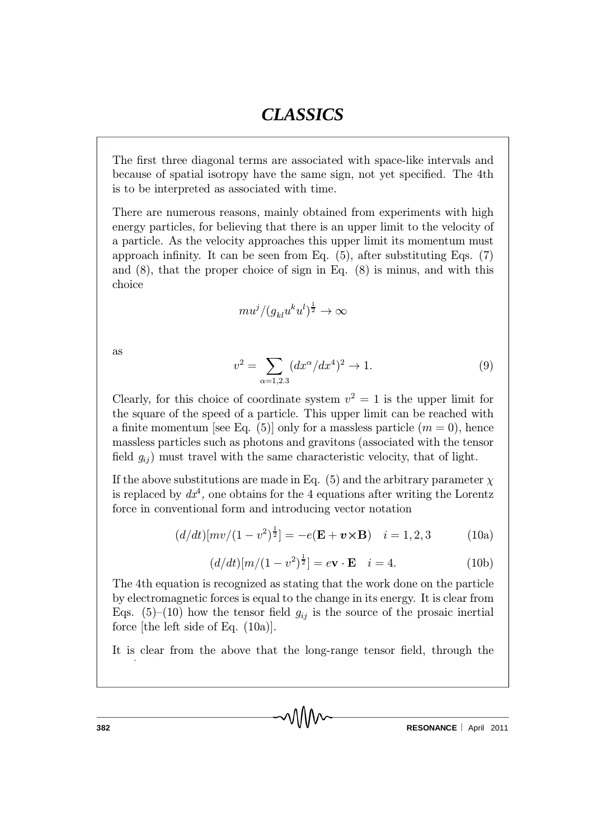The first three diagonal terms are associated with space-like intervals and because of spatial isotropy have the same sign, not yet specified. The 4th is to be interpreted as associated with time.

There are numerous reasons, mainly obtained from experiments with high energy particles, for believing that there is an upper limit to the velocity of a particle. As the velocity approaches this upper limit its momentum must approach infinity. It can be seen from Eq.  $(5)$ , after substituting Eqs.  $(7)$ and  $(8)$ , that the proper choice of sign in Eq.  $(8)$  is minus, and with this choice

$$
m u^j / (g_{kl} u^k u^l)^{\frac{1}{2}} \to \infty
$$

as

$$
v^2 = \sum_{\alpha=1,2,3} (dx^{\alpha}/dx^4)^2 \to 1.
$$
 (9)

Clearly, for this choice of coordinate system  $v^2 = 1$  is the upper limit for the square of the speed of a particle. This upper limit can be reached with a finite momentum [see Eq. (5)] only for a massless particle  $(m = 0)$ , hence massless particles such as photons and gravitons (associated with the tensor field  $g_{ij}$  must travel with the same characteristic velocity, that of light.

If the above substitutions are made in Eq. (5) and the arbitrary parameter  $\chi$ is replaced by  $dx^4$ , one obtains for the 4 equations after writing the Lorentz force in conventional form and introducing vector notation

$$
(d/dt)[mv/(1-v^2)^{\frac{1}{2}}] = -e(\mathbf{E} + \mathbf{v} \times \mathbf{B}) \quad i = 1, 2, 3
$$
 (10a)

$$
(d/dt)[m/(1 - v^2)^{\frac{1}{2}}] = e\mathbf{v} \cdot \mathbf{E} \quad i = 4.
$$
 (10b)

The 4th equation is recognized as stating that the work done on the particle by electromagnetic forces is equal to the change in its energy. It is clear from Eqs.  $(5)-(10)$  how the tensor field  $g_{ij}$  is the source of the prosaic inertial force [the left side of Eq. (10a)].

It is clear from the above that the long-range tensor field, through the

**382 RESONANCE**  $\vert$  April 2011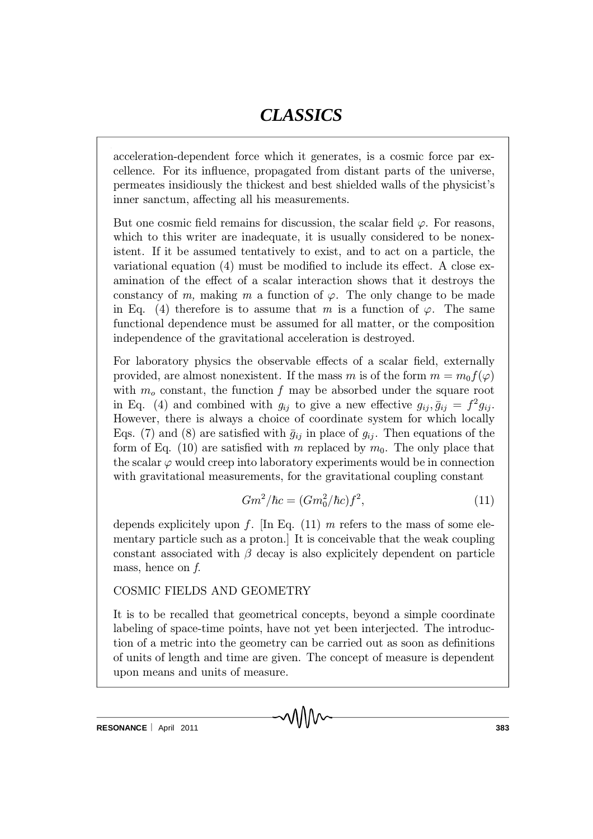acceleration-dependent force which it generates, is a cosmic force par excellence. For its influence, propagated from distant parts of the universe, permeates insidiously the thickest and best shielded walls of the physicist's inner sanctum, affecting all his measurements.

But one cosmic field remains for discussion, the scalar field  $\varphi$ . For reasons, which to this writer are inadequate, it is usually considered to be nonexistent. If it be assumed tentatively to exist, and to act on a particle, the variational equation  $(4)$  must be modified to include its effect. A close examination of the effect of a scalar interaction shows that it destroys the constancy of m, making m a function of  $\varphi$ . The only change to be made in Eq. (4) therefore is to assume that m is a function of  $\varphi$ . The same functional dependence must be assumed for all matter, or the composition independence of the gravitational acceleration is destroyed.

For laboratory physics the observable effects of a scalar field, externally provided, are almost nonexistent. If the mass m is of the form  $m = m_0 f(\varphi)$ with  $m<sub>o</sub>$  constant, the function f may be absorbed under the square root in Eq. (4) and combined with  $g_{ij}$  to give a new effective  $g_{ij}, \bar{g}_{ij} = f^2 g_{ij}$ . However, there is always a choice of coordinate system for which locally Eqs. (7) and (8) are satisfied with  $\bar{g}_{ij}$  in place of  $g_{ij}$ . Then equations of the form of Eq. (10) are satisfied with m replaced by  $m_0$ . The only place that the scalar  $\varphi$  would creep into laboratory experiments would be in connection with gravitational measurements, for the gravitational coupling constant

$$
Gm2/\hbar c = (Gm02/\hbar c)f2,
$$
\n(11)

depends explicitely upon f. [In Eq. (11) m refers to the mass of some elementary particle such as a proton.] It is conceivable that the weak coupling constant associated with  $\beta$  decay is also explicitely dependent on particle mass, hence on  $f$ .

#### COSMIC FIELDS AND GEOMETRY

It is to be recalled that geometrical concepts, beyond a simple coordinate labeling of space-time points, have not yet been interjected. The introduction of a metric into the geometry can be carried out as soon as definitions of units of length and time are given. The concept of measure is dependent upon means and units of measure.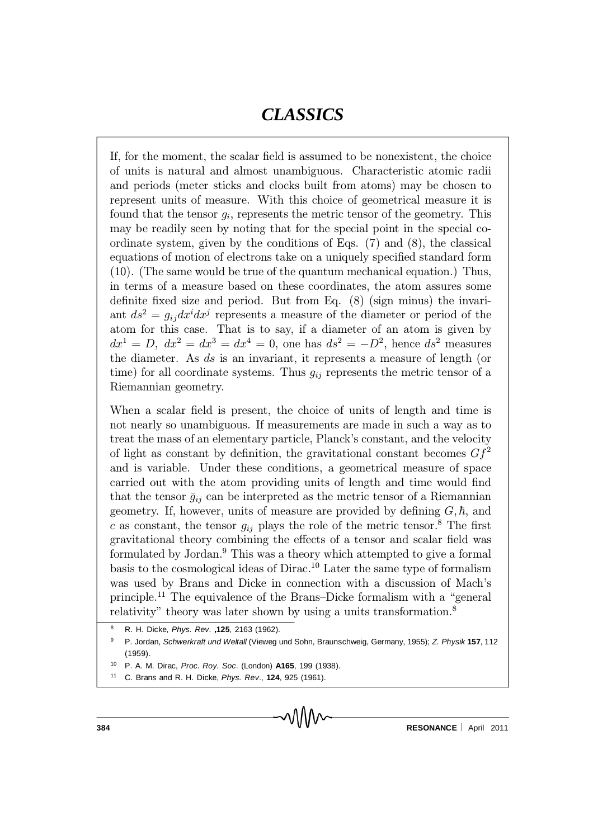If, for the moment, the scalar field is assumed to be nonexistent, the choice of units is natural and almost unambiguous. Characteristic atomic radii and periods (meter sticks and clocks built from atoms) may be chosen to represent units of measure. With this choice of geometrical measure it is found that the tensor  $g_i$ , represents the metric tensor of the geometry. This may be readily seen by noting that for the special point in the special coordinate system, given by the conditions of Eqs.  $(7)$  and  $(8)$ , the classical equations of motion of electrons take on a uniquely specified standard form (10). (The same would be true of the quantum mechanical equation.) Thus, in terms of a measure based on these coordinates, the atom assures some definite fixed size and period. But from Eq.  $(8)$  (sign minus) the invariant  $ds^2 = g_{ij}dx^i dx^j$  represents a measure of the diameter or period of the atom for this case. That is to say, if a diameter of an atom is given by  $dx^{1} = D$ ,  $dx^{2} = dx^{3} = dx^{4} = 0$ , one has  $ds^{2} = -D^{2}$ , hence  $ds^{2}$  measures the diameter. As ds is an invariant, it represents a measure of length (or time) for all coordinate systems. Thus  $g_{ij}$  represents the metric tensor of a Riemannian geometry.

When a scalar field is present, the choice of units of length and time is not nearly so unambiguous. If measurements are made in such a way as to treat the mass of an elementary particle, Planck's constant, and the velocity of light as constant by definition, the gravitational constant becomes  $Gf^2$ and is variable. Under these conditions, a geometrical measure of space carried out with the atom providing units of length and time would find that the tensor  $\bar{g}_{ij}$  can be interpreted as the metric tensor of a Riemannian geometry. If, however, units of measure are provided by defining  $G, \hbar$ , and c as constant, the tensor  $g_{ij}$  plays the role of the metric tensor.<sup>8</sup> The first gravitational theory combining the effects of a tensor and scalar field was formulated by Jordan.<sup>9</sup> This was a theory which attempted to give a formal basis to the cosmological ideas of Dirac. <sup>10</sup> Later the same type of formalism was used by Brans and Dicke in connection with a discussion of Mach's principle.<sup>11</sup> The equivalence of the Brans–Dicke formalism with a "general relativity" theory was later shown by using a units transformation.<sup>8</sup>

<sup>8</sup> R. H. Dicke, *Phys. Rev.* **,125**, 2163 (1962).

<sup>9</sup> P. Jordan, *Schwerkraft und Weltall* (Vieweg und Sohn, Braunschweig, Germany, 1955); *Z. Physik* **157**, 112 (1959).

<sup>10</sup> P. A. M. Dirac, *Proc. Roy. Soc*. (London) **A165**, 199 (1938).

<sup>11</sup> C. Brans and R. H. Dicke, *Phys. Rev*., **124**, 925 (1961).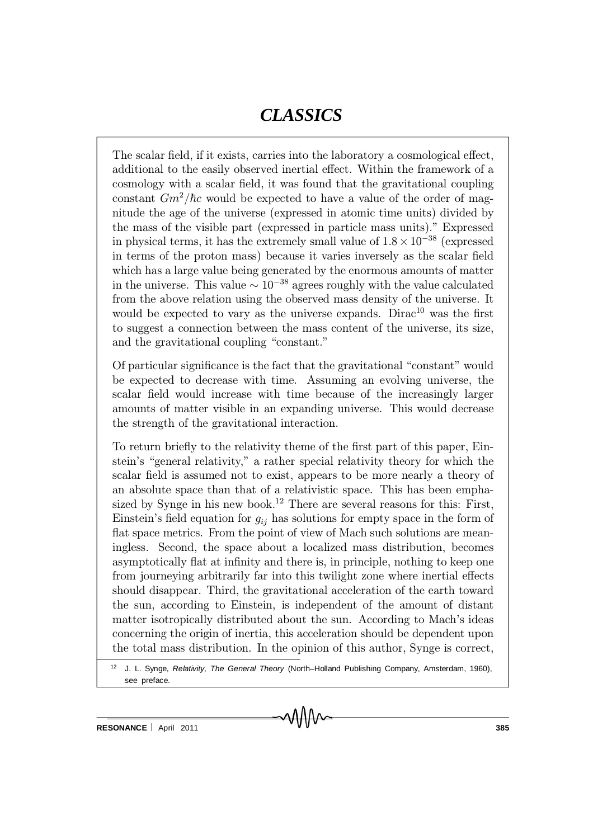The scalar field, if it exists, carries into the laboratory a cosmological effect, additional to the easily observed inertial effect. Within the framework of a cosmology with a scalar field, it was found that the gravitational coupling constant  $Gm^2/\hbar c$  would be expected to have a value of the order of magnitude the age of the universe (expressed in atomic time units) divided by the mass of the visible part (expressed in particle mass units)." Expressed in physical terms, it has the extremely small value of  $1.8 \times 10^{-38}$  (expressed in terms of the proton mass) because it varies inversely as the scalar field which has a large value being generated by the enormous amounts of matter in the universe. This value  $\sim 10^{-38}$  agrees roughly with the value calculated from the above relation using the observed mass density of the universe. It would be expected to vary as the universe expands. Dirac<sup>10</sup> was the first to suggest a connection between the mass content of the universe, its size, and the gravitational coupling "constant."

Of particular significance is the fact that the gravitational "constant" would be expected to decrease with time. Assuming an evolving universe, the scalar field would increase with time because of the increasingly larger amounts of matter visible in an expanding universe. This would decrease the strength of the gravitational interaction.

To return briefly to the relativity theme of the first part of this paper, Einstein's "general relativity," a rather special relativity theory for which the scalar field is assumed not to exist, appears to be more nearly a theory of an absolute space than that of a relativistic space. This has been emphasized by Synge in his new book. <sup>12</sup> There are several reasons for this: First, Einstein's field equation for  $g_{ij}$  has solutions for empty space in the form of flat space metrics. From the point of view of Mach such solutions are meaningless. Second, the space about a localized mass distribution, becomes asymptotically flat at infinity and there is, in principle, nothing to keep one from journeying arbitrarily far into this twilight zone where inertial effects should disappear. Third, the gravitational acceleration of the earth toward the sun, according to Einstein, is independent of the amount of distant matter isotropically distributed about the sun. According to Mach's ideas concerning the origin of inertia, this acceleration should be dependent upon the total mass distribution. In the opinion of this author, Synge is correct,

<sup>12</sup> J. L. Synge, *Relativity, The General Theory* (North–Holland Publishing Company, Amsterdam, 1960), see preface.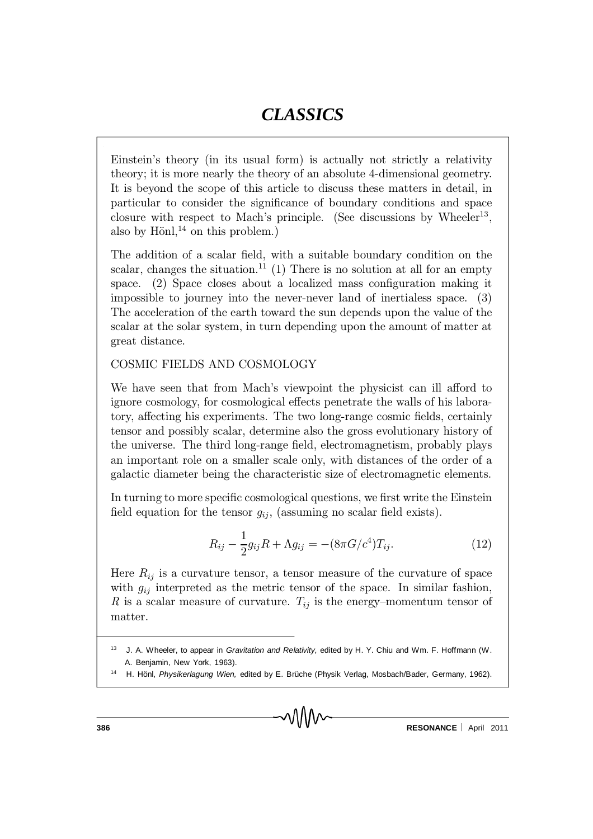Einstein's theory (in its usual form) is actually not strictly a relativity theory; it is more nearly the theory of an absolute 4-dimensional geometry. It is beyond the scope of this article to discuss these matters in detail, in particular to consider the significance of boundary conditions and space closure with respect to Mach's principle. (See discussions by Wheeler<sup>13</sup>, also by  $H\ddot{\text{o}}nl,$ <sup>14</sup> on this problem.)

The addition of a scalar field, with a suitable boundary condition on the scalar, changes the situation.<sup>11</sup> (1) There is no solution at all for an empty space.  $(2)$  Space closes about a localized mass configuration making it impossible to journey into the never-never land of inertialess space. (3) The acceleration of the earth toward the sun depends upon the value of the scalar at the solar system, in turn depending upon the amount of matter at great distance.

#### COSMIC FIELDS AND COSMOLOGY

We have seen that from Mach's viewpoint the physicist can ill afford to ignore cosmology, for cosmological effects penetrate the walls of his laboratory, affecting his experiments. The two long-range cosmic fields, certainly tensor and possibly scalar, determine also the gross evolutionary history of the universe. The third long-range field, electromagnetism, probably plays an important role on a smaller scale only, with distances of the order of a galactic diameter being the characteristic size of electromagnetic elements.

In turning to more specific cosmological questions, we first write the Einstein field equation for the tensor  $g_{ij}$ , (assuming no scalar field exists).

$$
R_{ij} - \frac{1}{2}g_{ij}R + \Lambda g_{ij} = -(8\pi G/c^4)T_{ij}.
$$
 (12)

Here  $R_{ij}$  is a curvature tensor, a tensor measure of the curvature of space with  $g_{ij}$  interpreted as the metric tensor of the space. In similar fashion, R is a scalar measure of curvature.  $T_{ij}$  is the energy-momentum tensor of matter.

<sup>13</sup> J. A. Wheeler, to appear in *Gravitation and Relativity,* edited by H. Y. Chiu and Wm. F. Hoffmann (W. A. Benjamin, New York, 1963).

<sup>14</sup> H. Hönl, *Physikerlagung Wien,* edited by E. Brüche (Physik Verlag, Mosbach/Bader, Germany, 1962).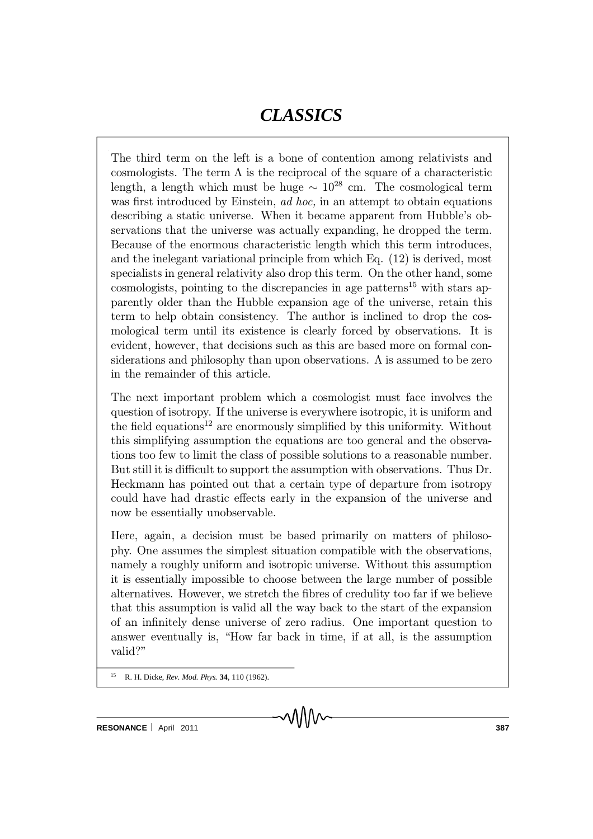The third term on the left is a bone of contention among relativists and cosmologists. The term  $\Lambda$  is the reciprocal of the square of a characteristic length, a length which must be huge  $\sim 10^{28}$  cm. The cosmological term was first introduced by Einstein, *ad hoc*, in an attempt to obtain equations describing a static universe. When it became apparent from Hubble's observations that the universe was actually expanding, he dropped the term. Because of the enormous characteristic length which this term introduces, and the inelegant variational principle from which Eq. (12) is derived, most specialists in general relativity also drop this term. On the other hand, some cosmologists, pointing to the discrepancies in age patterns<sup>15</sup> with stars apparently older than the Hubble expansion age of the universe, retain this term to help obtain consistency. The author is inclined to drop the cosmological term until its existence is clearly forced by observations. It is evident, however, that decisions such as this are based more on formal considerations and philosophy than upon observations.  $\Lambda$  is assumed to be zero in the remainder of this article.

The next important problem which a cosmologist must face involves the question of isotropy. If the universe is everywhere isotropic, it is uniform and the field equations<sup>12</sup> are enormously simplified by this uniformity. Without this simplifying assumption the equations are too general and the observations too few to limit the class of possible solutions to a reasonable number. But still it is difficult to support the assumption with observations. Thus Dr. Heckmann has pointed out that a certain type of departure from isotropy could have had drastic effects early in the expansion of the universe and now be essentially unobservable.

Here, again, a decision must be based primarily on matters of philosophy. One assumes the simplest situation compatible with the observations, namely a roughly uniform and isotropic universe. Without this assumption it is essentially impossible to choose between the large number of possible alternatives. However, we stretch the fibres of credulity too far if we believe that this assumption is valid all the way back to the start of the expansion of an infinitely dense universe of zero radius. One important question to answer eventually is, "How far back in time, if at all, is the assumption valid?"

<sup>15</sup> R. H. Dicke, *Rev. Mod. Phys.* **34**, 110 (1962).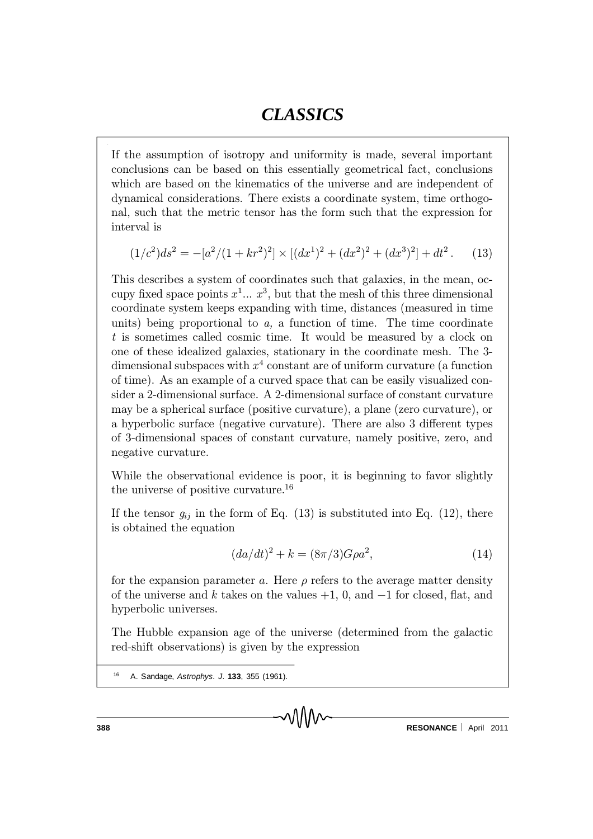If the assumption of isotropy and uniformity is made, several important conclusions can be based on this essentially geometrical fact, conclusions which are based on the kinematics of the universe and are independent of dynamical considerations. There exists a coordinate system, time orthogonal, such that the metric tensor has the form such that the expression for interval is

$$
(1/c2)ds2 = -[a2/(1+kr2)2] \times [(dx1)2 + (dx2)2 + (dx3)2] + dt2.
$$
 (13)

This describes a system of coordinates such that galaxies, in the mean, occupy fixed space points  $x^1... x^3$ , but that the mesh of this three dimensional coordinate system keeps expanding with time, distances (measured in time units) being proportional to  $a$ , a function of time. The time coordinate t is sometimes called cosmic time. It would be measured by a clock on one of these idealized galaxies, stationary in the coordinate mesh. The 3 dimensional subspaces with  $x^4$  constant are of uniform curvature (a function of time). As an example of a curved space that can be easily visualized consider a 2-dimensional surface. A 2-dimensional surface of constant curvature may be a spherical surface (positive curvature), a plane (zero curvature), or a hyperbolic surface (negative curvature). There are also 3 different types of 3-dimensional spaces of constant curvature, namely positive, zero, and negative curvature.

While the observational evidence is poor, it is beginning to favor slightly the universe of positive curvature.<sup>16</sup>

If the tensor  $g_{ij}$  in the form of Eq. (13) is substituted into Eq. (12), there is obtained the equation

$$
(da/dt)^{2} + k = (8\pi/3)G\rho a^{2}, \qquad (14)
$$

for the expansion parameter a. Here  $\rho$  refers to the average matter density of the universe and k takes on the values  $+1$ , 0, and  $-1$  for closed, flat, and hyperbolic universes.

The Hubble expansion age of the universe (determined from the galactic red-shift observations) is given by the expression

**388 RESONANCE** April 2011

<sup>16</sup> A. Sandage, *Astrophys. J.* **133**, 355 (1961).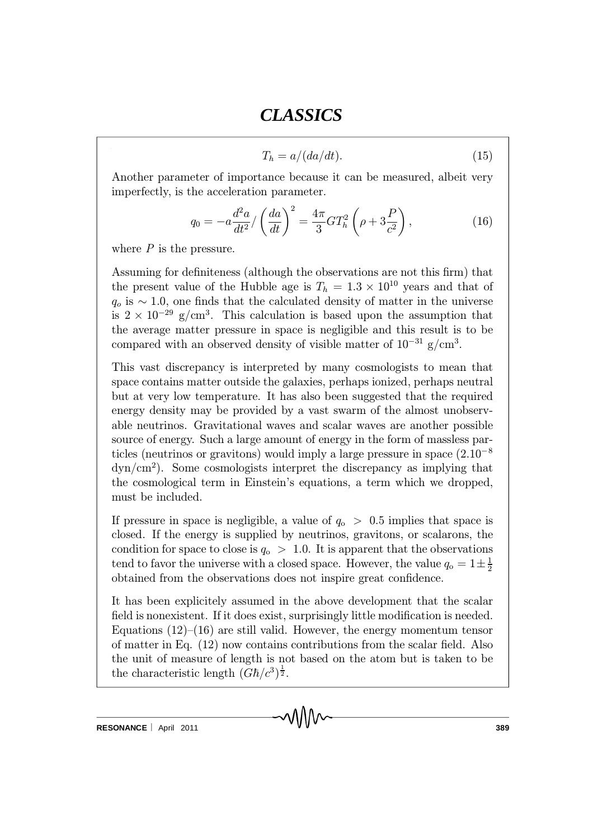$$
T_h = a/(da/dt). \tag{15}
$$

Another parameter of importance because it can be measured, albeit very imperfectly, is the acceleration parameter.

$$
q_0 = -a \frac{d^2 a}{dt^2} / \left(\frac{da}{dt}\right)^2 = \frac{4\pi}{3} GT_h^2 \left(\rho + 3\frac{P}{c^2}\right),
$$
 (16)

where  $P$  is the pressure.

Assuming for definiteness (although the observations are not this firm) that the present value of the Hubble age is  $T_h = 1.3 \times 10^{10}$  years and that of  $q_0$  is  $\sim$  1.0, one finds that the calculated density of matter in the universe is  $2 \times 10^{-29}$  g/cm<sup>3</sup>. This calculation is based upon the assumption that the average matter pressure in space is negligible and this result is to be compared with an observed density of visible matter of  $10^{-31}$  g/cm<sup>3</sup>.

This vast discrepancy is interpreted by many cosmologists to mean that space contains matter outside the galaxies, perhaps ionized, perhaps neutral but at very low temperature. It has also been suggested that the required energy density may be provided by a vast swarm of the almost unobservable neutrinos. Gravitational waves and scalar waves are another possible source of energy. Such a large amount of energy in the form of massless particles (neutrinos or gravitons) would imply a large pressure in space  $(2.10^{-8}$ dyn/cm<sup>2</sup> ). Some cosmologists interpret the discrepancy as implying that the cosmological term in Einstein's equations, a term which we dropped, must be included.

If pressure in space is negligible, a value of  $q_0 > 0.5$  implies that space is closed. If the energy is supplied by neutrinos, gravitons, or scalarons, the condition for space to close is  $q_0 > 1.0$ . It is apparent that the observations tend to favor the universe with a closed space. However, the value  $q_0 = 1 \pm \frac{1}{2}$ 2 obtained from the observations does not inspire great confidence.

It has been explicitely assumed in the above development that the scalar field is nonexistent. If it does exist, surprisingly little modification is needed. Equations  $(12)-(16)$  are still valid. However, the energy momentum tensor of matter in Eq.  $(12)$  now contains contributions from the scalar field. Also the unit of measure of length is not based on the atom but is taken to be the characteristic length  $(\tilde{G}\hbar/c^3)^{\frac{1}{2}}$ .

**RESONANCE** April 2011 **389**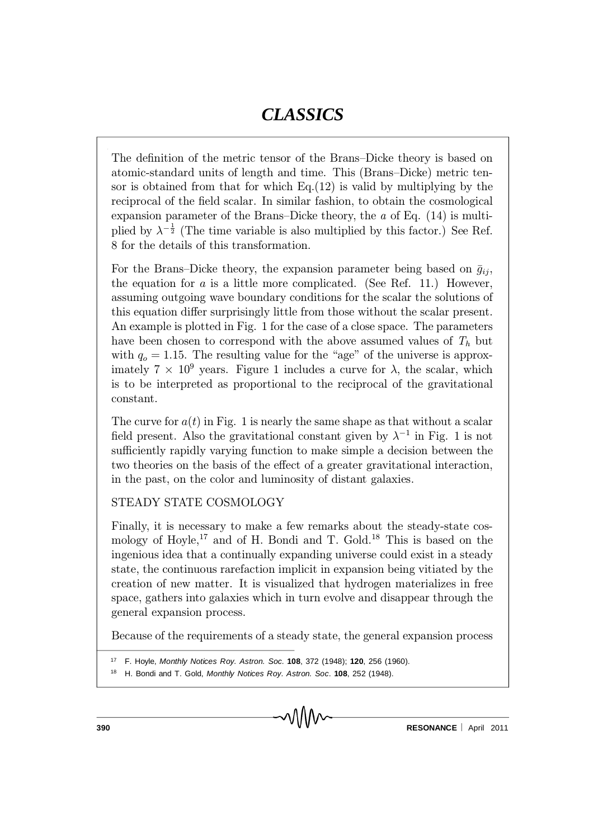The definition of the metric tensor of the Brans–Dicke theory is based on atomic-standard units of length and time. This (Brans–Dicke) metric tensor is obtained from that for which Eq.(12) is valid by multiplying by the reciprocal of the field scalar. In similar fashion, to obtain the cosmological expansion parameter of the Brans-Dicke theory, the  $a$  of Eq. (14) is multiplied by  $\lambda^{-\frac{1}{2}}$  (The time variable is also multiplied by this factor.) See Ref. 8 for the details of this transformation.

For the Brans-Dicke theory, the expansion parameter being based on  $\bar{g}_{ij}$ , the equation for  $a$  is a little more complicated. (See Ref. 11.) However, assuming outgoing wave boundary conditions for the scalar the solutions of this equation differ surprisingly little from those without the scalar present. An example is plotted in Fig. 1 for the case of a close space. The parameters have been chosen to correspond with the above assumed values of  $T_h$  but with  $q_0 = 1.15$ . The resulting value for the "age" of the universe is approximately  $7 \times 10^9$  years. Figure 1 includes a curve for  $\lambda$ , the scalar, which is to be interpreted as proportional to the reciprocal of the gravitational constant.

The curve for  $a(t)$  in Fig. 1 is nearly the same shape as that without a scalar field present. Also the gravitational constant given by  $\lambda^{-1}$  in Fig. 1 is not sufficiently rapidly varying function to make simple a decision between the two theories on the basis of the effect of a greater gravitational interaction, in the past, on the color and luminosity of distant galaxies.

#### STEADY STATE COSMOLOGY

Finally, it is necessary to make a few remarks about the steady-state cosmology of Hoyle,<sup>17</sup> and of H. Bondi and T. Gold.<sup>18</sup> This is based on the ingenious idea that a continually expanding universe could exist in a steady state, the continuous rarefaction implicit in expansion being vitiated by the creation of new matter. It is visualized that hydrogen materializes in free space, gathers into galaxies which in turn evolve and disappear through the general expansion process.

Because of the requirements of a steady state, the general expansion process

<sup>18</sup> H. Bondi and T. Gold, *Monthly Notices Roy. Astron. Soc*. **108**, 252 (1948).



<sup>17</sup> F. Hoyle, *Monthly Notices Roy. Astron. Soc.* **108**, 372 (1948); **120**, 256 (1960).